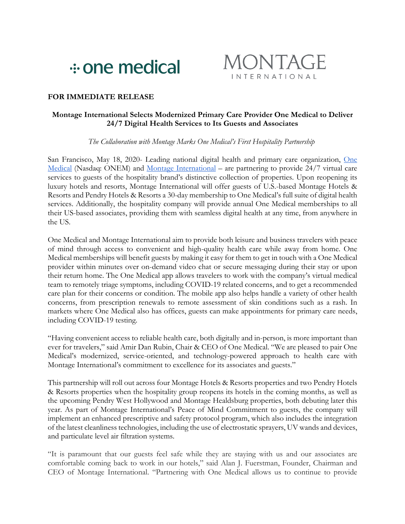



# **FOR IMMEDIATE RELEASE**

## **Montage International Selects Modernized Primary Care Provider One Medical to Deliver 24/7 Digital Health Services to Its Guests and Associates**

### *The Collaboration with Montage Marks One Medical's First Hospitality Partnership*

San Francisco, May 18, 2020- Leading national digital health and primary care organization, One Medical (Nasdaq: ONEM) and Montage International – are partnering to provide 24/7 virtual care services to guests of the hospitality brand's distinctive collection of properties. Upon reopening its luxury hotels and resorts, Montage International will offer guests of U.S.-based Montage Hotels & Resorts and Pendry Hotels & Resorts a 30-day membership to One Medical's full suite of digital health services. Additionally, the hospitality company will provide annual One Medical memberships to all their US-based associates, providing them with seamless digital health at any time, from anywhere in the US.

One Medical and Montage International aim to provide both leisure and business travelers with peace of mind through access to convenient and high-quality health care while away from home. One Medical memberships will benefit guests by making it easy for them to get in touch with a One Medical provider within minutes over on-demand video chat or secure messaging during their stay or upon their return home. The One Medical app allows travelers to work with the company's virtual medical team to remotely triage symptoms, including COVID-19 related concerns, and to get a recommended care plan for their concerns or condition. The mobile app also helps handle a variety of other health concerns, from prescription renewals to remote assessment of skin conditions such as a rash. In markets where One Medical also has offices, guests can make appointments for primary care needs, including COVID-19 testing.

"Having convenient access to reliable health care, both digitally and in-person, is more important than ever for travelers," said Amir Dan Rubin, Chair & CEO of One Medical. "We are pleased to pair One Medical's modernized, service-oriented, and technology-powered approach to health care with Montage International's commitment to excellence for its associates and guests."

This partnership will roll out across four Montage Hotels & Resorts properties and two Pendry Hotels & Resorts properties when the hospitality group reopens its hotels in the coming months, as well as the upcoming Pendry West Hollywood and Montage Healdsburg properties, both debuting later this year. As part of Montage International's Peace of Mind Commitment to guests, the company will implement an enhanced prescriptive and safety protocol program, which also includes the integration of the latest cleanliness technologies, including the use of electrostatic sprayers, UV wands and devices, and particulate level air filtration systems.

"It is paramount that our guests feel safe while they are staying with us and our associates are comfortable coming back to work in our hotels," said Alan J. Fuerstman, Founder, Chairman and CEO of Montage International. "Partnering with One Medical allows us to continue to provide